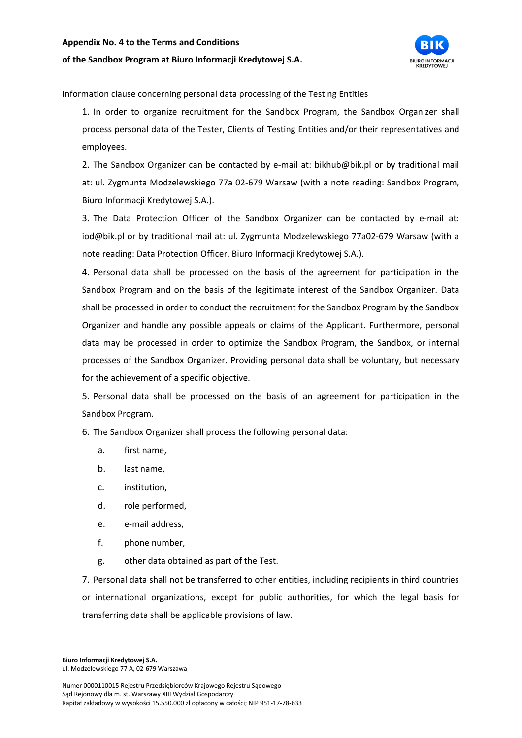## **Appendix No. 4 to the Terms and Conditions**

## **of the Sandbox Program at Biuro Informacji Kredytowej S.A.**



Information clause concerning personal data processing of the Testing Entities

1. In order to organize recruitment for the Sandbox Program, the Sandbox Organizer shall process personal data of the Tester, Clients of Testing Entities and/or their representatives and employees.

2. The Sandbox Organizer can be contacted by e-mail at: bikhub@bik.pl or by traditional mail at: ul. Zygmunta Modzelewskiego 77a 02-679 Warsaw (with a note reading: Sandbox Program, Biuro Informacji Kredytowej S.A.).

3. The Data Protection Officer of the Sandbox Organizer can be contacted by e-mail at: iod@bik.pl or by traditional mail at: ul. Zygmunta Modzelewskiego 77a02-679 Warsaw (with a note reading: Data Protection Officer, Biuro Informacji Kredytowej S.A.).

4. Personal data shall be processed on the basis of the agreement for participation in the Sandbox Program and on the basis of the legitimate interest of the Sandbox Organizer. Data shall be processed in order to conduct the recruitment for the Sandbox Program by the Sandbox Organizer and handle any possible appeals or claims of the Applicant. Furthermore, personal data may be processed in order to optimize the Sandbox Program, the Sandbox, or internal processes of the Sandbox Organizer. Providing personal data shall be voluntary, but necessary for the achievement of a specific objective.

5. Personal data shall be processed on the basis of an agreement for participation in the Sandbox Program.

6. The Sandbox Organizer shall process the following personal data:

- a. first name,
- b. last name,
- c. institution,
- d. role performed,
- e. e-mail address,
- f. phone number,
- g. other data obtained as part of the Test.

7. Personal data shall not be transferred to other entities, including recipients in third countries or international organizations, except for public authorities, for which the legal basis for transferring data shall be applicable provisions of law.